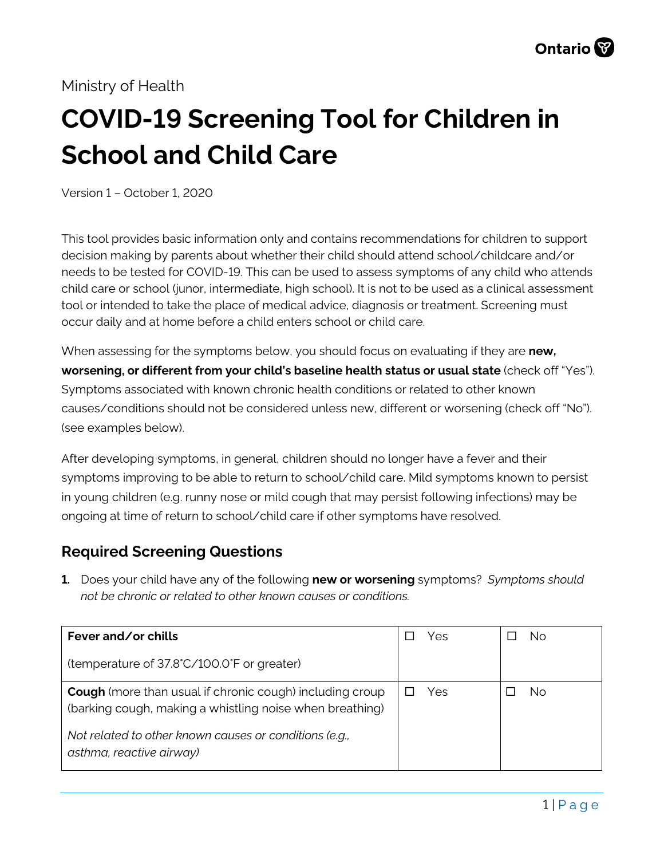# Ministry of Health

# **COVID-19 Screening Tool for Children in School and Child Care**

Version 1 – October 1, 2020

This tool provides basic information only and contains recommendations for children to support decision making by parents about whether their child should attend school/childcare and/or needs to be tested for COVID-19. This can be used to assess symptoms of any child who attends child care or school (junor, intermediate, high school). It is not to be used as a clinical assessment tool or intended to take the place of medical advice, diagnosis or treatment. Screening must occur daily and at home before a child enters school or child care.

When assessing for the symptoms below, you should focus on evaluating if they are **new, worsening, or different from your child's baseline health status or usual state** (check off "Yes"). Symptoms associated with known chronic health conditions or related to other known causes/conditions should not be considered unless new, different or worsening (check off "No"). (see examples below).

After developing symptoms, in general, children should no longer have a fever and their symptoms improving to be able to return to school/child care. Mild symptoms known to persist in young children (e.g. runny nose or mild cough that may persist following infections) may be ongoing at time of return to school/child care if other symptoms have resolved.

# **Required Screening Questions**

**1.** Does your child have any of the following **new or worsening** symptoms? *Symptoms should not be chronic or related to other known causes or conditions.*

| Fever and/or chills                                                                                                         | Yes | No |
|-----------------------------------------------------------------------------------------------------------------------------|-----|----|
| (temperature of 37.8°C/100.0°F or greater)                                                                                  |     |    |
| <b>Cough</b> (more than usual if chronic cough) including croup<br>(barking cough, making a whistling noise when breathing) | Yes | No |
| Not related to other known causes or conditions (e.g.,<br>asthma, reactive airway)                                          |     |    |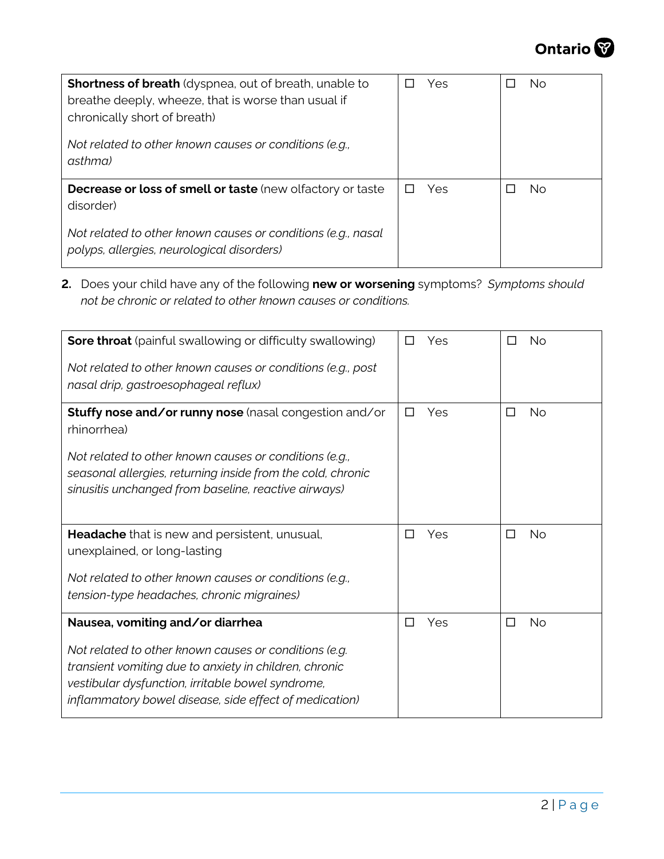

| <b>Shortness of breath</b> (dyspnea, out of breath, unable to<br>breathe deeply, wheeze, that is worse than usual if<br>chronically short of breath)<br>Not related to other known causes or conditions (e.g.,<br>asthma) | Yes | No. |
|---------------------------------------------------------------------------------------------------------------------------------------------------------------------------------------------------------------------------|-----|-----|
| <b>Decrease or loss of smell or taste (new olfactory or taste)</b><br>disorder)                                                                                                                                           | Yes | No. |
| Not related to other known causes or conditions (e.g., nasal<br>polyps, allergies, neurological disorders)                                                                                                                |     |     |

**2.** Does your child have any of the following **new or worsening** symptoms? *Symptoms should not be chronic or related to other known causes or conditions.*

| <b>Sore throat</b> (painful swallowing or difficulty swallowing)<br>Not related to other known causes or conditions (e.g., post<br>nasal drip, gastroesophageal reflux)                                                                                            | Yes<br>П      | No<br>□        |
|--------------------------------------------------------------------------------------------------------------------------------------------------------------------------------------------------------------------------------------------------------------------|---------------|----------------|
| Stuffy nose and/or runny nose (nasal congestion and/or<br>rhinorrhea)<br>Not related to other known causes or conditions (e.g.,<br>seasonal allergies, returning inside from the cold, chronic<br>sinusitis unchanged from baseline, reactive airways)             | Yes<br>$\Box$ | <b>No</b><br>□ |
| Headache that is new and persistent, unusual,<br>unexplained, or long-lasting<br>Not related to other known causes or conditions (e.g.,<br>tension-type headaches, chronic migraines)                                                                              | Yes<br>□      | <b>No</b><br>□ |
| Nausea, vomiting and/or diarrhea<br>Not related to other known causes or conditions (e.g.<br>transient vomiting due to anxiety in children, chronic<br>vestibular dysfunction, irritable bowel syndrome,<br>inflammatory bowel disease, side effect of medication) | Yes<br>П      | <b>No</b><br>П |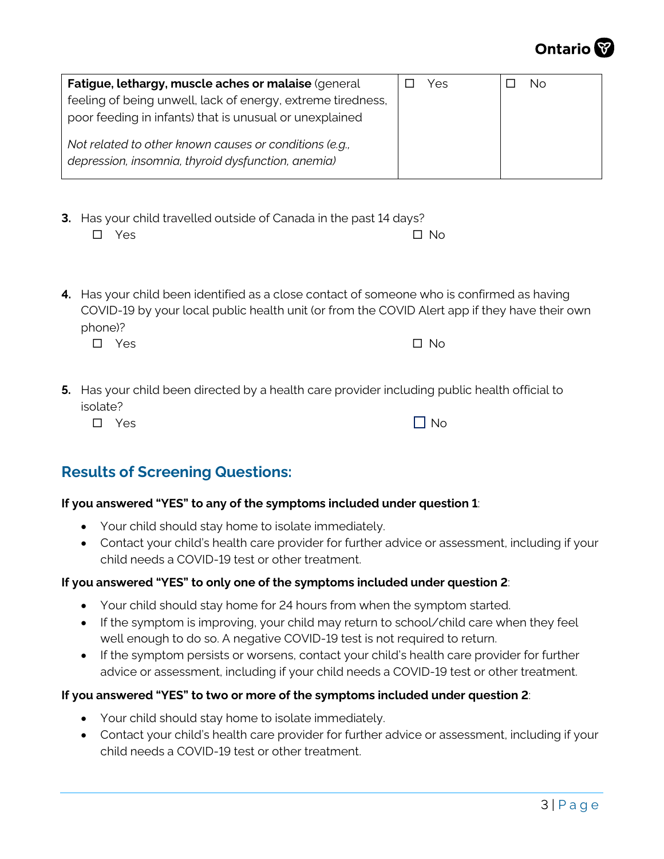

| Fatigue, lethargy, muscle aches or malaise (general<br>feeling of being unwell, lack of energy, extreme tiredness,<br>poor feeding in infants) that is unusual or unexplained | Yes | Νo |
|-------------------------------------------------------------------------------------------------------------------------------------------------------------------------------|-----|----|
| Not related to other known causes or conditions (e.g.,<br>depression, insomnia, thyroid dysfunction, anemia)                                                                  |     |    |

- **3.** Has your child travelled outside of Canada in the past 14 days?  $\square$  Yes  $\square$  No
- **4.** Has your child been identified as a close contact of someone who is confirmed as having COVID-19 by your local public health unit (or from the COVID Alert app if they have their own phone)?

| $\square$ Yes | $\Box$ No |
|---------------|-----------|
|               |           |

**5.** Has your child been directed by a health care provider including public health official to isolate?

|--|

# **Results of Screening Questions:**

## **If you answered "YES" to any of the symptoms included under question 1**:

- Your child should stay home to isolate immediately.
- Contact your child's health care provider for further advice or assessment, including if your child needs a COVID-19 test or other treatment.

#### **If you answered "YES" to only one of the symptoms included under question 2**:

- Your child should stay home for 24 hours from when the symptom started.
- If the symptom is improving, your child may return to school/child care when they feel well enough to do so. A negative COVID-19 test is not required to return.
- If the symptom persists or worsens, contact your child's health care provider for further advice or assessment, including if your child needs a COVID-19 test or other treatment.

## **If you answered "YES" to two or more of the symptoms included under question 2**:

- Your child should stay home to isolate immediately.
- Contact your child's health care provider for further advice or assessment, including if your child needs a COVID-19 test or other treatment.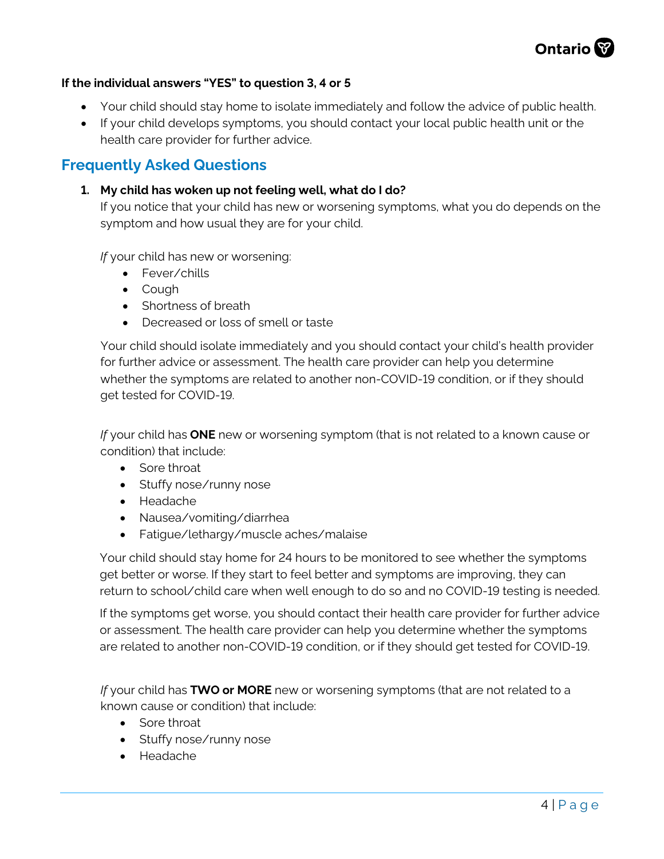

#### **If the individual answers "YES" to question 3, 4 or 5**

- Your child should stay home to isolate immediately and follow the advice of public health.
- If your child develops symptoms, you should contact your local public health unit or the health care provider for further advice.

## **Frequently Asked Questions**

#### **1. My child has woken up not feeling well, what do I do?**

If you notice that your child has new or worsening symptoms, what you do depends on the symptom and how usual they are for your child.

*If* your child has new or worsening:

- Fever/chills
- Cough
- Shortness of breath
- Decreased or loss of smell or taste

Your child should isolate immediately and you should contact your child's health provider for further advice or assessment. The health care provider can help you determine whether the symptoms are related to another non-COVID-19 condition, or if they should get tested for COVID-19.

*If* your child has **ONE** new or worsening symptom (that is not related to a known cause or condition) that include:

- Sore throat
- Stuffy nose/runny nose
- Headache
- Nausea/vomiting/diarrhea
- Fatigue/lethargy/muscle aches/malaise

Your child should stay home for 24 hours to be monitored to see whether the symptoms get better or worse. If they start to feel better and symptoms are improving, they can return to school/child care when well enough to do so and no COVID-19 testing is needed.

If the symptoms get worse, you should contact their health care provider for further advice or assessment. The health care provider can help you determine whether the symptoms are related to another non-COVID-19 condition, or if they should get tested for COVID-19.

*If* your child has **TWO or MORE** new or worsening symptoms (that are not related to a known cause or condition) that include:

- Sore throat
- Stuffy nose/runny nose
- Headache